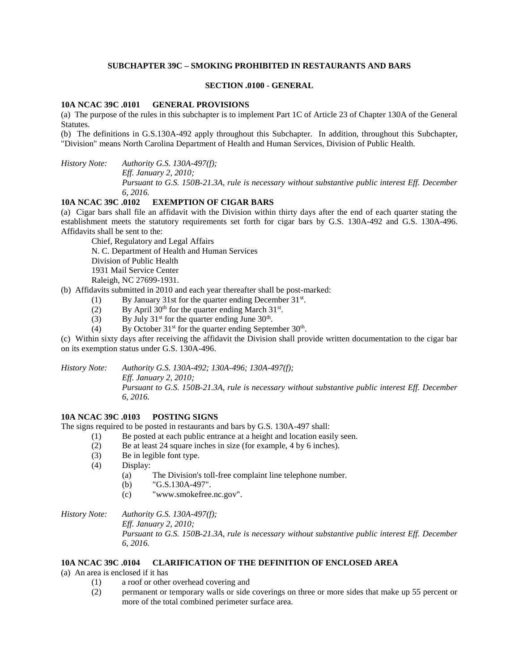## **SUBCHAPTER 39C – SMOKING PROHIBITED IN RESTAURANTS AND BARS**

### **SECTION .0100 - GENERAL**

### **10A NCAC 39C .0101 GENERAL PROVISIONS**

(a) The purpose of the rules in this subchapter is to implement Part 1C of Article 23 of Chapter 130A of the General Statutes.

(b) The definitions in G.S.130A-492 apply throughout this Subchapter. In addition, throughout this Subchapter, "Division" means North Carolina Department of Health and Human Services, Division of Public Health.

*History Note: Authority G.S. 130A-497(f);*

*Eff. January 2, 2010;*

*Pursuant to G.S. 150B-21.3A, rule is necessary without substantive public interest Eff. December 6, 2016.*

# **10A NCAC 39C .0102 EXEMPTION OF CIGAR BARS**

(a) Cigar bars shall file an affidavit with the Division within thirty days after the end of each quarter stating the establishment meets the statutory requirements set forth for cigar bars by G.S. 130A-492 and G.S. 130A-496. Affidavits shall be sent to the:

Chief, Regulatory and Legal Affairs N. C. Department of Health and Human Services Division of Public Health 1931 Mail Service Center Raleigh, NC 27699-1931.

(b) Affidavits submitted in 2010 and each year thereafter shall be post-marked:

- (1) By January 31st for the quarter ending December  $31<sup>st</sup>$ .
- (2) By April  $30<sup>th</sup>$  for the quarter ending March  $31<sup>st</sup>$ .
- (3) By July  $31<sup>st</sup>$  for the quarter ending June  $30<sup>th</sup>$ .
- (4) By October  $31<sup>st</sup>$  for the quarter ending September  $30<sup>th</sup>$ .

(c) Within sixty days after receiving the affidavit the Division shall provide written documentation to the cigar bar on its exemption status under G.S. 130A-496.

*History Note: Authority G.S. 130A-492; 130A-496; 130A-497(f);*

*Eff. January 2, 2010; Pursuant to G.S. 150B-21.3A, rule is necessary without substantive public interest Eff. December 6, 2016.*

### **10A NCAC 39C .0103 POSTING SIGNS**

The signs required to be posted in restaurants and bars by G.S. 130A-497 shall:

- (1) Be posted at each public entrance at a height and location easily seen.
- (2) Be at least 24 square inches in size (for example, 4 by 6 inches).
- (3) Be in legible font type.
- (4) Display:
	- (a) The Division's toll-free complaint line telephone number.
	- (b) "G.S.130A-497".
	- (c) "www.smokefree.nc.gov".

*History Note: Authority G.S. 130A-497(f); Eff. January 2, 2010; Pursuant to G.S. 150B-21.3A, rule is necessary without substantive public interest Eff. December 6, 2016.*

### **10A NCAC 39C .0104 CLARIFICATION OF THE DEFINITION OF ENCLOSED AREA**

(a) An area is enclosed if it has

- (1) a roof or other overhead covering and
- (2) permanent or temporary walls or side coverings on three or more sides that make up 55 percent or more of the total combined perimeter surface area.